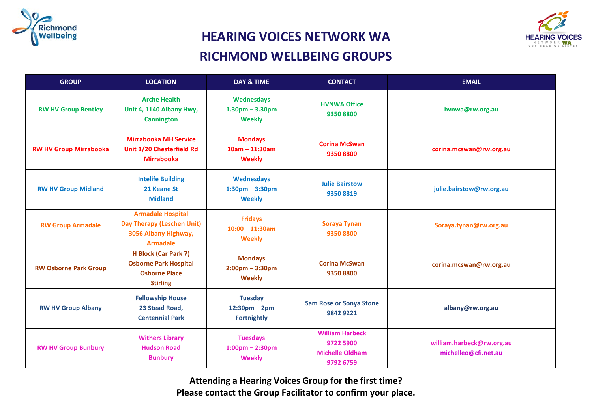



## **HEARING VOICES NETWORK WA RICHMOND WELLBEING GROUPS**

| <b>GROUP</b>                  | <b>LOCATION</b>                                                                                        | <b>DAY &amp; TIME</b>                                                | <b>CONTACT</b>                                                             | <b>EMAIL</b>                                      |
|-------------------------------|--------------------------------------------------------------------------------------------------------|----------------------------------------------------------------------|----------------------------------------------------------------------------|---------------------------------------------------|
| <b>RW HV Group Bentley</b>    | <b>Arche Health</b><br>Unit 4, 1140 Albany Hwy,<br><b>Cannington</b>                                   | <b>Wednesdays</b><br>$1.30pm - 3.30pm$<br>Weekly                     | <b>HVNWA Office</b><br>9350 8800                                           | hvnwa@rw.org.au                                   |
| <b>RW HV Group Mirrabooka</b> | <b>Mirrabooka MH Service</b><br>Unit 1/20 Chesterfield Rd<br><b>Mirrabooka</b>                         | <b>Mondays</b><br>$10am - 11:30am$<br><b>Weekly</b>                  | <b>Corina McSwan</b><br>93508800                                           | corina.mcswan@rw.org.au                           |
| <b>RW HV Group Midland</b>    | <b>Intelife Building</b><br>21 Keane St<br><b>Midland</b>                                              | <b>Wednesdays</b><br>$1:30pm - 3:30pm$<br><b>Weekly</b>              | <b>Julie Bairstow</b><br>9350 8819                                         | julie.bairstow@rw.org.au                          |
| <b>RW Group Armadale</b>      | <b>Armadale Hospital</b><br>Day Therapy (Leschen Unit)<br>3056 Albany Highway,<br><b>Armadale</b>      | <b>Fridays</b><br>$10:00 - 11:30$ am<br><b>Weekly</b>                | <b>Soraya Tynan</b><br>9350 8800                                           | Soraya.tynan@rw.org.au                            |
| <b>RW Osborne Park Group</b>  | <b>H Block (Car Park 7)</b><br><b>Osborne Park Hospital</b><br><b>Osborne Place</b><br><b>Stirling</b> | <b>Mondays</b><br>$2:00 \text{pm} - 3:30 \text{pm}$<br><b>Weekly</b> | <b>Corina McSwan</b><br>93508800                                           | corina.mcswan@rw.org.au                           |
| <b>RW HV Group Albany</b>     | <b>Fellowship House</b><br>23 Stead Road,<br><b>Centennial Park</b>                                    | <b>Tuesday</b><br>$12:30pm - 2pm$<br><b>Fortnightly</b>              | <b>Sam Rose or Sonya Stone</b><br>9842 9221                                | albany@rw.org.au                                  |
| <b>RW HV Group Bunbury</b>    | <b>Withers Library</b><br><b>Hudson Road</b><br><b>Bunbury</b>                                         | <b>Tuesdays</b><br>$1:00$ pm - 2:30pm<br><b>Weekly</b>               | <b>William Harbeck</b><br>9722 5900<br><b>Michelle Oldham</b><br>9792 6759 | william.harbeck@rw.org.au<br>michelleo@cfi.net.au |

**Attending a Hearing Voices Group for the first time? Please contact the Group Facilitator to confirm your place.**